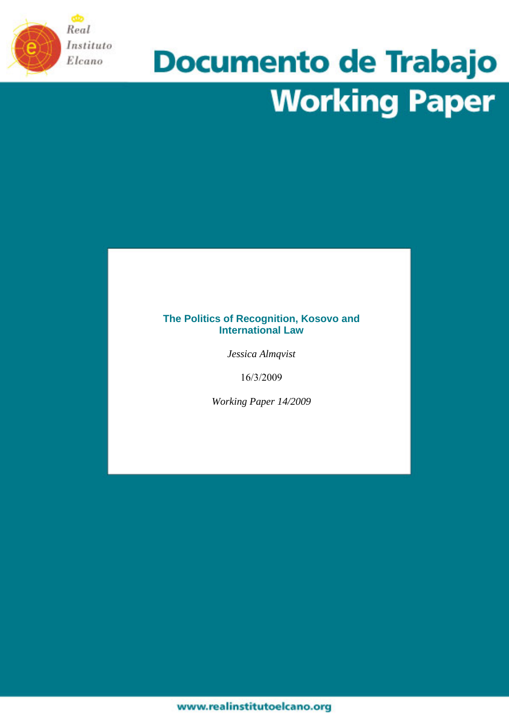

# **Documento de Trabajo Working Paper**

## **The Politics of Recognition, Kosovo and International Law**

*Jessica Almqvist* 

16/3/2009

*Working Paper 14/2009*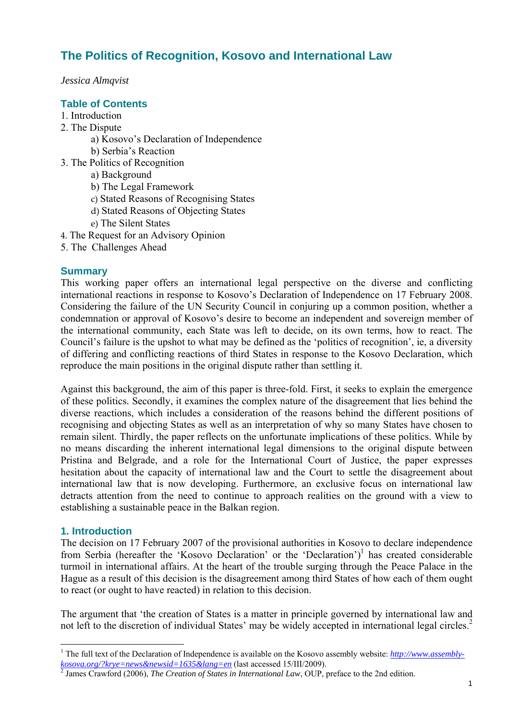## **The Politics of Recognition, Kosovo and International Law**

*Jessica Almqvist* 

## **Table of Contents**

- 1. Introduction
- 2. The Dispute
	- a) Kosovo's Declaration of Independence
	- b) Serbia's Reaction
- 3. The Politics of Recognition
	- a) Background
	- b) The Legal Framework
	- c) Stated Reasons of Recognising States
	- d) Stated Reasons of Objecting States
	- e) The Silent States
- 4. The Request for an Advisory Opinion
- 5. The Challenges Ahead

### **Summary**

This working paper offers an international legal perspective on the diverse and conflicting international reactions in response to Kosovo's Declaration of Independence on 17 February 2008. Considering the failure of the UN Security Council in conjuring up a common position, whether a condemnation or approval of Kosovo's desire to become an independent and sovereign member of the international community, each State was left to decide, on its own terms, how to react. The Council's failure is the upshot to what may be defined as the 'politics of recognition', ie, a diversity of differing and conflicting reactions of third States in response to the Kosovo Declaration, which reproduce the main positions in the original dispute rather than settling it.

Against this background, the aim of this paper is three-fold. First, it seeks to explain the emergence of these politics. Secondly, it examines the complex nature of the disagreement that lies behind the diverse reactions, which includes a consideration of the reasons behind the different positions of recognising and objecting States as well as an interpretation of why so many States have chosen to remain silent. Thirdly, the paper reflects on the unfortunate implications of these politics. While by no means discarding the inherent international legal dimensions to the original dispute between Pristina and Belgrade, and a role for the International Court of Justice, the paper expresses hesitation about the capacity of international law and the Court to settle the disagreement about international law that is now developing. Furthermore, an exclusive focus on international law detracts attention from the need to continue to approach realities on the ground with a view to establishing a sustainable peace in the Balkan region.

## **1. Introduction**

 $\overline{a}$ 

The decision on 17 February 2007 of the provisional authorities in Kosovo to declare independence from Serbia (hereafter the 'Kosovo Declaration' or the 'Declaration')<sup>1</sup> has created considerable turmoil in international affairs. At the heart of the trouble surging through the Peace Palace in the Hague as a result of this decision is the disagreement among third States of how each of them ought to react (or ought to have reacted) in relation to this decision.

The argument that 'the creation of States is a matter in principle governed by international law and not left to the discretion of individual States' may be widely accepted in international legal circles.<sup>2</sup>

<sup>&</sup>lt;sup>1</sup> The full text of the Declaration of Independence is available on the Kosovo assembly website: *http://www.assemblykosova.org/?krye=news&newsid=1635&lang=en* (last accessed 15/III/2009).

James Crawford (2006), *The Creation of States in International Law*, OUP, preface to the 2nd edition.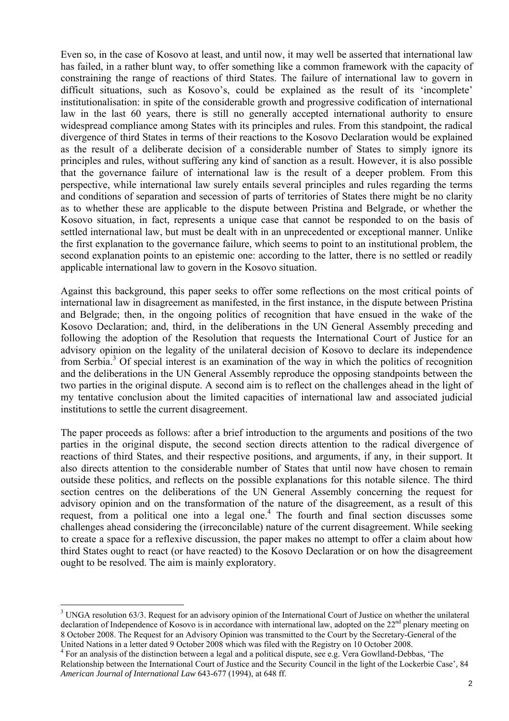Even so, in the case of Kosovo at least, and until now, it may well be asserted that international law has failed, in a rather blunt way, to offer something like a common framework with the capacity of constraining the range of reactions of third States. The failure of international law to govern in difficult situations, such as Kosovo's, could be explained as the result of its 'incomplete' institutionalisation: in spite of the considerable growth and progressive codification of international law in the last 60 years, there is still no generally accepted international authority to ensure widespread compliance among States with its principles and rules. From this standpoint, the radical divergence of third States in terms of their reactions to the Kosovo Declaration would be explained as the result of a deliberate decision of a considerable number of States to simply ignore its principles and rules, without suffering any kind of sanction as a result. However, it is also possible that the governance failure of international law is the result of a deeper problem. From this perspective, while international law surely entails several principles and rules regarding the terms and conditions of separation and secession of parts of territories of States there might be no clarity as to whether these are applicable to the dispute between Pristina and Belgrade, or whether the Kosovo situation, in fact, represents a unique case that cannot be responded to on the basis of settled international law, but must be dealt with in an unprecedented or exceptional manner. Unlike the first explanation to the governance failure, which seems to point to an institutional problem, the second explanation points to an epistemic one: according to the latter, there is no settled or readily applicable international law to govern in the Kosovo situation.

Against this background, this paper seeks to offer some reflections on the most critical points of international law in disagreement as manifested, in the first instance, in the dispute between Pristina and Belgrade; then, in the ongoing politics of recognition that have ensued in the wake of the Kosovo Declaration; and, third, in the deliberations in the UN General Assembly preceding and following the adoption of the Resolution that requests the International Court of Justice for an advisory opinion on the legality of the unilateral decision of Kosovo to declare its independence from Serbia.<sup>3</sup> Of special interest is an examination of the way in which the politics of recognition and the deliberations in the UN General Assembly reproduce the opposing standpoints between the two parties in the original dispute. A second aim is to reflect on the challenges ahead in the light of my tentative conclusion about the limited capacities of international law and associated judicial institutions to settle the current disagreement.

The paper proceeds as follows: after a brief introduction to the arguments and positions of the two parties in the original dispute, the second section directs attention to the radical divergence of reactions of third States, and their respective positions, and arguments, if any, in their support. It also directs attention to the considerable number of States that until now have chosen to remain outside these politics, and reflects on the possible explanations for this notable silence. The third section centres on the deliberations of the UN General Assembly concerning the request for advisory opinion and on the transformation of the nature of the disagreement, as a result of this request, from a political one into a legal one.<sup>4</sup> The fourth and final section discusses some challenges ahead considering the (irreconcilable) nature of the current disagreement. While seeking to create a space for a reflexive discussion, the paper makes no attempt to offer a claim about how third States ought to react (or have reacted) to the Kosovo Declaration or on how the disagreement ought to be resolved. The aim is mainly exploratory.

 $3$  UNGA resolution 63/3. Request for an advisory opinion of the International Court of Justice on whether the unilateral declaration of Independence of Kosovo is in accordance with international law, adopted on the  $22<sup>nd</sup>$  plenary meeting on 8 October 2008. The Request for an Advisory Opinion was transmitted to the Court by the Secretary-General of the United Nations in a letter dated 9 October 2008 which was filed with the Registry on 10 October 2008. 4

<sup>&</sup>lt;sup>4</sup> For an analysis of the distinction between a legal and a political dispute, see e.g. Vera Gowlland-Debbas, 'The Relationship between the International Court of Justice and the Security Council in the light of the Lockerbie Case', 84 *American Journal of International Law* 643-677 (1994), at 648 ff.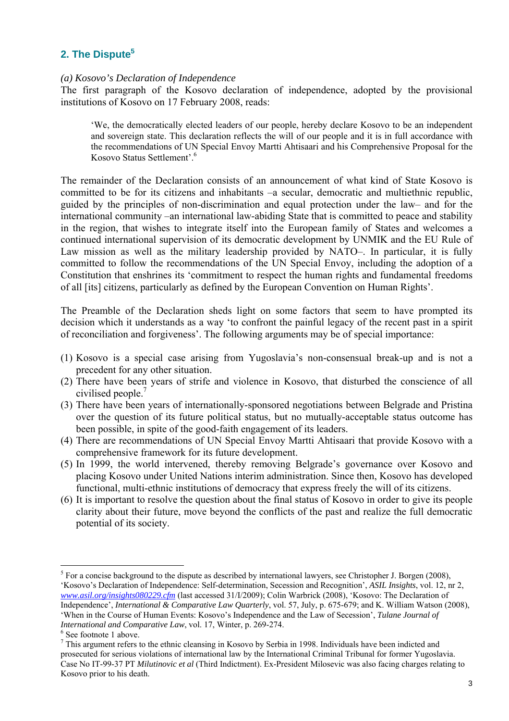## 2. The Dispute<sup>5</sup>

#### *(a) Kosovo's Declaration of Independence*

The first paragraph of the Kosovo declaration of independence, adopted by the provisional institutions of Kosovo on 17 February 2008, reads:

'We, the democratically elected leaders of our people, hereby declare Kosovo to be an independent and sovereign state. This declaration reflects the will of our people and it is in full accordance with the recommendations of UN Special Envoy Martti Ahtisaari and his Comprehensive Proposal for the Kosovo Status Settlement'.6

The remainder of the Declaration consists of an announcement of what kind of State Kosovo is committed to be for its citizens and inhabitants –a secular, democratic and multiethnic republic, guided by the principles of non-discrimination and equal protection under the law– and for the international community –an international law-abiding State that is committed to peace and stability in the region, that wishes to integrate itself into the European family of States and welcomes a continued international supervision of its democratic development by UNMIK and the EU Rule of Law mission as well as the military leadership provided by NATO–. In particular, it is fully committed to follow the recommendations of the UN Special Envoy, including the adoption of a Constitution that enshrines its 'commitment to respect the human rights and fundamental freedoms of all [its] citizens, particularly as defined by the European Convention on Human Rights'.

The Preamble of the Declaration sheds light on some factors that seem to have prompted its decision which it understands as a way 'to confront the painful legacy of the recent past in a spirit of reconciliation and forgiveness'. The following arguments may be of special importance:

- (1) Kosovo is a special case arising from Yugoslavia's non-consensual break-up and is not a precedent for any other situation.
- (2) There have been years of strife and violence in Kosovo, that disturbed the conscience of all civilised people.<sup>7</sup>
- (3) There have been years of internationally-sponsored negotiations between Belgrade and Pristina over the question of its future political status, but no mutually-acceptable status outcome has been possible, in spite of the good-faith engagement of its leaders.
- (4) There are recommendations of UN Special Envoy Martti Ahtisaari that provide Kosovo with a comprehensive framework for its future development.
- (5) In 1999, the world intervened, thereby removing Belgrade's governance over Kosovo and placing Kosovo under United Nations interim administration. Since then, Kosovo has developed functional, multi-ethnic institutions of democracy that express freely the will of its citizens.
- (6) It is important to resolve the question about the final status of Kosovo in order to give its people clarity about their future, move beyond the conflicts of the past and realize the full democratic potential of its society.

 $<sup>5</sup>$  For a concise background to the dispute as described by international lawyers, see Christopher J. Borgen (2008),</sup> 'Kosovo's Declaration of Independence: Self-determination, Secession and Recognition', *ASIL Insights*, vol. 12, nr 2, *www.asil.org/insights080229.cfm* (last accessed 31/I/2009); Colin Warbrick (2008), 'Kosovo: The Declaration of Independence', *International & Comparative Law Quarterly*, vol. 57, July, p. 675-679; and K. William Watson (2008), 'When in the Course of Human Events: Kosovo's Independence and the Law of Secession', *Tulane Journal of International and Comparative Law, vol.* 17, Winter, p. 269-274.

 $6$  See footnote 1 above.

 $<sup>7</sup>$  This argument refers to the ethnic cleansing in Kosovo by Serbia in 1998. Individuals have been indicted and</sup> prosecuted for serious violations of international law by the International Criminal Tribunal for former Yugoslavia. Case No IT-99-37 PT *Milutinovic et al* (Third Indictment). Ex-President Milosevic was also facing charges relating to Kosovo prior to his death.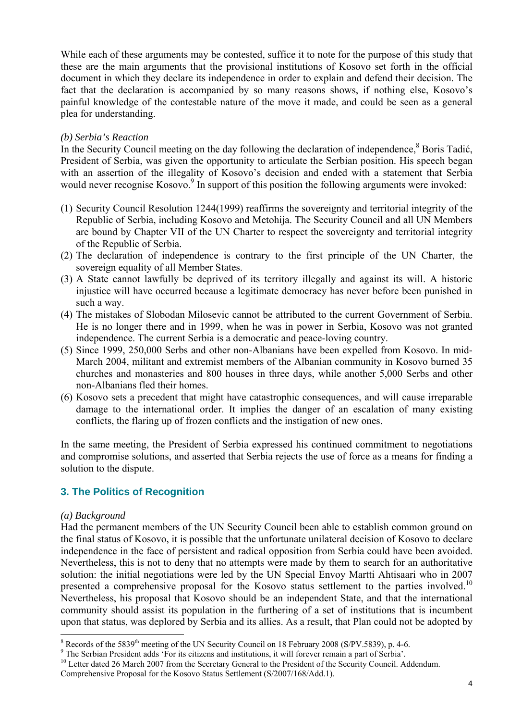While each of these arguments may be contested, suffice it to note for the purpose of this study that these are the main arguments that the provisional institutions of Kosovo set forth in the official document in which they declare its independence in order to explain and defend their decision. The fact that the declaration is accompanied by so many reasons shows, if nothing else, Kosovo's painful knowledge of the contestable nature of the move it made, and could be seen as a general plea for understanding.

## *(b) Serbia's Reaction*

In the Security Council meeting on the day following the declaration of independence,<sup>8</sup> Boris Tadić, President of Serbia, was given the opportunity to articulate the Serbian position. His speech began with an assertion of the illegality of Kosovo's decision and ended with a statement that Serbia would never recognise Kosovo.<sup>9</sup> In support of this position the following arguments were invoked:

- (1) Security Council Resolution 1244(1999) reaffirms the sovereignty and territorial integrity of the Republic of Serbia, including Kosovo and Metohija. The Security Council and all UN Members are bound by Chapter VII of the UN Charter to respect the sovereignty and territorial integrity of the Republic of Serbia.
- (2) The declaration of independence is contrary to the first principle of the UN Charter, the sovereign equality of all Member States.
- (3) A State cannot lawfully be deprived of its territory illegally and against its will. A historic injustice will have occurred because a legitimate democracy has never before been punished in such a way.
- (4) The mistakes of Slobodan Milosevic cannot be attributed to the current Government of Serbia. He is no longer there and in 1999, when he was in power in Serbia, Kosovo was not granted independence. The current Serbia is a democratic and peace-loving country.
- (5) Since 1999, 250,000 Serbs and other non-Albanians have been expelled from Kosovo. In mid-March 2004, militant and extremist members of the Albanian community in Kosovo burned 35 churches and monasteries and 800 houses in three days, while another 5,000 Serbs and other non-Albanians fled their homes.
- (6) Kosovo sets a precedent that might have catastrophic consequences, and will cause irreparable damage to the international order. It implies the danger of an escalation of many existing conflicts, the flaring up of frozen conflicts and the instigation of new ones.

In the same meeting, the President of Serbia expressed his continued commitment to negotiations and compromise solutions, and asserted that Serbia rejects the use of force as a means for finding a solution to the dispute.

## **3. The Politics of Recognition**

#### *(a) Background*

Had the permanent members of the UN Security Council been able to establish common ground on the final status of Kosovo, it is possible that the unfortunate unilateral decision of Kosovo to declare independence in the face of persistent and radical opposition from Serbia could have been avoided. Nevertheless, this is not to deny that no attempts were made by them to search for an authoritative solution: the initial negotiations were led by the UN Special Envoy Martti Ahtisaari who in 2007 presented a comprehensive proposal for the Kosovo status settlement to the parties involved.<sup>10</sup> Nevertheless, his proposal that Kosovo should be an independent State, and that the international community should assist its population in the furthering of a set of institutions that is incumbent upon that status, was deplored by Serbia and its allies. As a result, that Plan could not be adopted by

 $8 \text{ Records of the } 5839^{\text{th}}$  meeting of the UN Security Council on 18 February 2008 (S/PV.5839), p. 4-6.

The Serbian President adds 'For its citizens and institutions, it will forever remain a part of Serbia'.<br><sup>10</sup> Letter dated 26 March 2007 from the Secretary General to the President of the Security Council. Addendum.

Comprehensive Proposal for the Kosovo Status Settlement (S/2007/168/Add.1).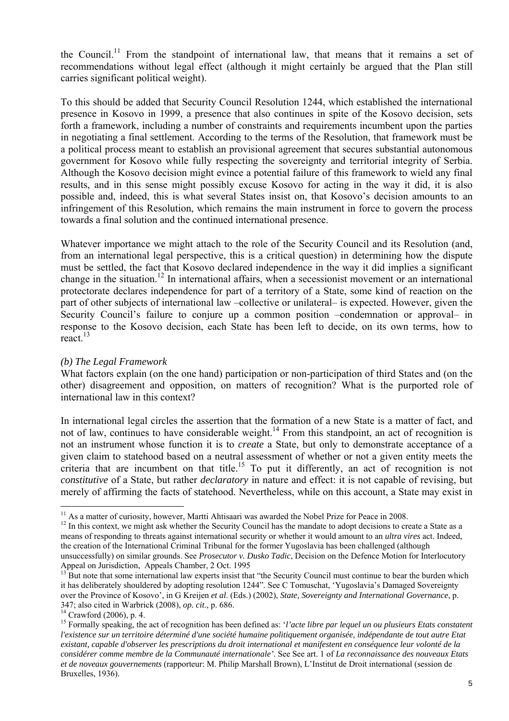the Council.<sup>11</sup> From the standpoint of international law, that means that it remains a set of recommendations without legal effect (although it might certainly be argued that the Plan still carries significant political weight).

To this should be added that Security Council Resolution 1244, which established the international presence in Kosovo in 1999, a presence that also continues in spite of the Kosovo decision, sets forth a framework, including a number of constraints and requirements incumbent upon the parties in negotiating a final settlement. According to the terms of the Resolution, that framework must be a political process meant to establish an provisional agreement that secures substantial autonomous government for Kosovo while fully respecting the sovereignty and territorial integrity of Serbia. Although the Kosovo decision might evince a potential failure of this framework to wield any final results, and in this sense might possibly excuse Kosovo for acting in the way it did, it is also possible and, indeed, this is what several States insist on, that Kosovo's decision amounts to an infringement of this Resolution, which remains the main instrument in force to govern the process towards a final solution and the continued international presence.

Whatever importance we might attach to the role of the Security Council and its Resolution (and, from an international legal perspective, this is a critical question) in determining how the dispute must be settled, the fact that Kosovo declared independence in the way it did implies a significant change in the situation.12 In international affairs, when a secessionist movement or an international protectorate declares independence for part of a territory of a State, some kind of reaction on the part of other subjects of international law –collective or unilateral– is expected. However, given the Security Council's failure to conjure up a common position –condemnation or approval– in response to the Kosovo decision, each State has been left to decide, on its own terms, how to react.<sup>13</sup>

#### *(b) The Legal Framework*

What factors explain (on the one hand) participation or non-participation of third States and (on the other) disagreement and opposition, on matters of recognition? What is the purported role of international law in this context?

In international legal circles the assertion that the formation of a new State is a matter of fact, and not of law, continues to have considerable weight.<sup>14</sup> From this standpoint, an act of recognition is not an instrument whose function it is to *create* a State, but only to demonstrate acceptance of a given claim to statehood based on a neutral assessment of whether or not a given entity meets the criteria that are incumbent on that title.<sup>15</sup> To put it differently, an act of recognition is not *constitutive* of a State, but rather *declaratory* in nature and effect: it is not capable of revising, but merely of affirming the facts of statehood. Nevertheless, while on this account, a State may exist in

 $11$  As a matter of curiosity, however, Martti Ahtisaari was awarded the Nobel Prize for Peace in 2008.

 $12$  In this context, we might ask whether the Security Council has the mandate to adopt decisions to create a State as a means of responding to threats against international security or whether it would amount to an *ultra vires* act. Indeed, the creation of the International Criminal Tribunal for the former Yugoslavia has been challenged (although unsuccessfully) on similar grounds. See *Prosecutor v. Dusko Tadic*, Decision on the Defence Motion for Interlocutory Appeal on Jurisdiction, Appeals Chamber, 2 Oct. 1995

<sup>&</sup>lt;sup>13</sup> But note that some international law experts insist that "the Security Council must continue to bear the burden which it has deliberately shouldered by adopting resolution 1244". See C Tomuschat, 'Yugoslavia's Damaged Sovereignty over the Province of Kosovo', in G Kreijen *et al*. (Eds.) (2002), *State, Sovereignty and International Governance*, p. 347; also cited in Warbrick (2008), *op. cit*., p. 686. 14 Crawford (2006), p. 4.

<sup>&</sup>lt;sup>15</sup> Formally speaking, the act of recognition has been defined as: *'l'acte libre par lequel un ou plusieurs Etats constatent l'existence sur un territoire déterminé d'une société humaine politiquement organisée, indépendante de tout autre Etat existant, capable d'observer les prescriptions du droit international et manifestent en conséquence leur volonté de la considérer comme membre de la Communauté internationale'*. See See art. 1 of *La reconnaissance des nouveaux Etats et de noveaux gouvernements* (rapporteur: M. Philip Marshall Brown), L'Institut de Droit international (session de Bruxelles, 1936).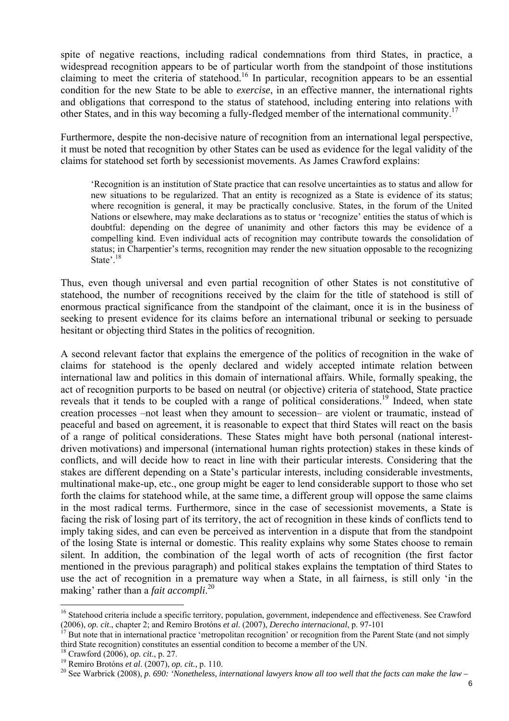spite of negative reactions, including radical condemnations from third States, in practice, a widespread recognition appears to be of particular worth from the standpoint of those institutions claiming to meet the criteria of statehood.16 In particular, recognition appears to be an essential condition for the new State to be able to *exercise*, in an effective manner, the international rights and obligations that correspond to the status of statehood, including entering into relations with other States, and in this way becoming a fully-fledged member of the international community.<sup>17</sup>

Furthermore, despite the non-decisive nature of recognition from an international legal perspective, it must be noted that recognition by other States can be used as evidence for the legal validity of the claims for statehood set forth by secessionist movements. As James Crawford explains:

'Recognition is an institution of State practice that can resolve uncertainties as to status and allow for new situations to be regularized. That an entity is recognized as a State is evidence of its status; where recognition is general, it may be practically conclusive. States, in the forum of the United Nations or elsewhere, may make declarations as to status or 'recognize' entities the status of which is doubtful: depending on the degree of unanimity and other factors this may be evidence of a compelling kind. Even individual acts of recognition may contribute towards the consolidation of status; in Charpentier's terms, recognition may render the new situation opposable to the recognizing State<sup>2.18</sup>

Thus, even though universal and even partial recognition of other States is not constitutive of statehood, the number of recognitions received by the claim for the title of statehood is still of enormous practical significance from the standpoint of the claimant, once it is in the business of seeking to present evidence for its claims before an international tribunal or seeking to persuade hesitant or objecting third States in the politics of recognition.

A second relevant factor that explains the emergence of the politics of recognition in the wake of claims for statehood is the openly declared and widely accepted intimate relation between international law and politics in this domain of international affairs. While, formally speaking, the act of recognition purports to be based on neutral (or objective) criteria of statehood, State practice reveals that it tends to be coupled with a range of political considerations.19 Indeed, when state creation processes –not least when they amount to secession– are violent or traumatic, instead of peaceful and based on agreement, it is reasonable to expect that third States will react on the basis of a range of political considerations. These States might have both personal (national interestdriven motivations) and impersonal (international human rights protection) stakes in these kinds of conflicts, and will decide how to react in line with their particular interests. Considering that the stakes are different depending on a State's particular interests, including considerable investments, multinational make-up, etc., one group might be eager to lend considerable support to those who set forth the claims for statehood while, at the same time, a different group will oppose the same claims in the most radical terms. Furthermore, since in the case of secessionist movements, a State is facing the risk of losing part of its territory, the act of recognition in these kinds of conflicts tend to imply taking sides, and can even be perceived as intervention in a dispute that from the standpoint of the losing State is internal or domestic. This reality explains why some States choose to remain silent. In addition, the combination of the legal worth of acts of recognition (the first factor mentioned in the previous paragraph) and political stakes explains the temptation of third States to use the act of recognition in a premature way when a State, in all fairness, is still only 'in the making' rather than a *fait accompli*. 20

<sup>&</sup>lt;sup>16</sup> Statehood criteria include a specific territory, population, government, independence and effectiveness. See Crawford (2006), op. cit., chapter 2; and Remiro Brotóns et al. (2007), Derecho internacional, p. 97-101<br><sup>17</sup> But note that in international practice 'metropolitan recognition' or recognition from the Parent State (and not simply

third State recognition) constitutes an essential condition to become a member of the UN. <sup>18</sup> Crawford (2006), *op. cit.*, p. 27.

<sup>&</sup>lt;sup>19</sup> Remiro Brotóns et al. (2007), op. cit., p. 110.<br><sup>20</sup> See Warbrick (2008), p. 690: 'Nonetheless, international lawyers know all too well that the facts can make the law -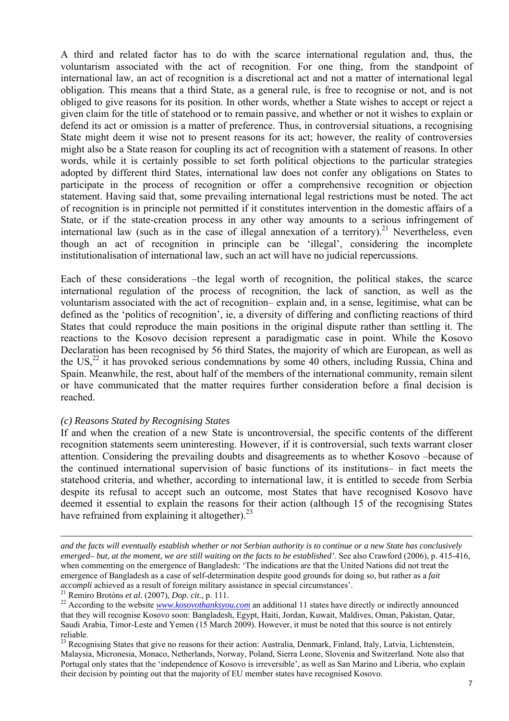A third and related factor has to do with the scarce international regulation and, thus, the voluntarism associated with the act of recognition. For one thing, from the standpoint of international law, an act of recognition is a discretional act and not a matter of international legal obligation. This means that a third State, as a general rule, is free to recognise or not, and is not obliged to give reasons for its position. In other words, whether a State wishes to accept or reject a given claim for the title of statehood or to remain passive, and whether or not it wishes to explain or defend its act or omission is a matter of preference. Thus, in controversial situations, a recognising State might deem it wise not to present reasons for its act; however, the reality of controversies might also be a State reason for coupling its act of recognition with a statement of reasons. In other words, while it is certainly possible to set forth political objections to the particular strategies adopted by different third States, international law does not confer any obligations on States to participate in the process of recognition or offer a comprehensive recognition or objection statement. Having said that, some prevailing international legal restrictions must be noted. The act of recognition is in principle not permitted if it constitutes intervention in the domestic affairs of a State, or if the state-creation process in any other way amounts to a serious infringement of international law (such as in the case of illegal annexation of a territory).<sup>21</sup> Nevertheless, even though an act of recognition in principle can be 'illegal', considering the incomplete institutionalisation of international law, such an act will have no judicial repercussions.

Each of these considerations –the legal worth of recognition, the political stakes, the scarce international regulation of the process of recognition, the lack of sanction, as well as the voluntarism associated with the act of recognition– explain and, in a sense, legitimise, what can be defined as the 'politics of recognition', ie, a diversity of differing and conflicting reactions of third States that could reproduce the main positions in the original dispute rather than settling it. The reactions to the Kosovo decision represent a paradigmatic case in point. While the Kosovo Declaration has been recognised by 56 third States, the majority of which are European, as well as the  $US<sub>1</sub><sup>22</sup>$  it has provoked serious condemnations by some 40 others, including Russia, China and Spain. Meanwhile, the rest, about half of the members of the international community, remain silent or have communicated that the matter requires further consideration before a final decision is reached.

#### *(c) Reasons Stated by Recognising States*

If and when the creation of a new State is uncontroversial, the specific contents of the different recognition statements seem uninteresting. However, if it is controversial, such texts warrant closer attention. Considering the prevailing doubts and disagreements as to whether Kosovo –because of the continued international supervision of basic functions of its institutions– in fact meets the statehood criteria, and whether, according to international law, it is entitled to secede from Serbia despite its refusal to accept such an outcome, most States that have recognised Kosovo have deemed it essential to explain the reasons for their action (although 15 of the recognising States have refrained from explaining it altogether). $^{23}$ 

*and the facts will eventually establish whether or not Serbian authority is to continue or a new State has conclusively emerged– but, at the moment, we are still waiting on the facts to be established'*. See also Crawford (2006), p. 415-416, when commenting on the emergence of Bangladesh: 'The indications are that the United Nations did not treat the emergence of Bangladesh as a case of self-determination despite good grounds for doing so, but rather as a *fait* 

<sup>&</sup>lt;sup>21</sup> Remiro Brotóns *et al.* (2007), *Dop. cit.*, p. 111.<br><sup>22</sup> According to the website <u>www.kosovothanksyou.com</u> an additional 11 states have directly or indirectly announced that they will recognise Kosovo soon: Bangladesh, Egypt, Haiti, Jordan, Kuwait, Maldives, Oman, Pakistan, Qatar, Saudi Arabia, Timor-Leste and Yemen (15 March 2009). However, it must be noted that this source is not entirely reliable.

<sup>&</sup>lt;sup>23</sup> Recognising States that give no reasons for their action: Australia, Denmark, Finland, Italy, Latvia, Lichtenstein, Malaysia, Micronesia, Monaco, Netherlands, Norway, Poland, Sierra Leone, Slovenia and Switzerland. Note also that Portugal only states that the 'independence of Kosovo is irreversible', as well as San Marino and Liberia, who explain their decision by pointing out that the majority of EU member states have recognised Kosovo.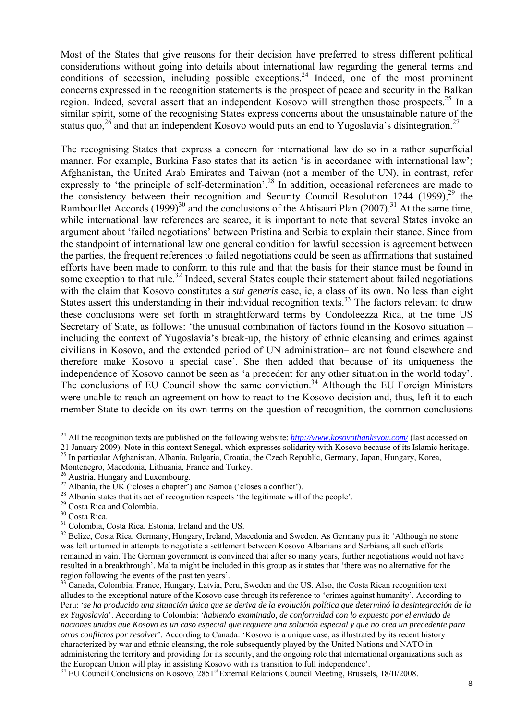Most of the States that give reasons for their decision have preferred to stress different political considerations without going into details about international law regarding the general terms and conditions of secession, including possible exceptions.<sup>24</sup> Indeed, one of the most prominent concerns expressed in the recognition statements is the prospect of peace and security in the Balkan region. Indeed, several assert that an independent Kosovo will strengthen those prospects.<sup>25</sup> In a similar spirit, some of the recognising States express concerns about the unsustainable nature of the status quo,<sup>26</sup> and that an independent Kosovo would puts an end to Yugoslavia's disintegration.<sup>27</sup>

The recognising States that express a concern for international law do so in a rather superficial manner. For example, Burkina Faso states that its action 'is in accordance with international law'; Afghanistan, the United Arab Emirates and Taiwan (not a member of the UN), in contrast, refer expressly to 'the principle of self-determination'.<sup>28</sup> In addition, occasional references are made to the consistency between their recognition and Security Council Resolution 1244 (1999),  $29$  the Rambouillet Accords  $(1999)^{30}$  and the conclusions of the Ahtisaari Plan  $(2007)^{31}$  At the same time, while international law references are scarce, it is important to note that several States invoke an argument about 'failed negotiations' between Pristina and Serbia to explain their stance. Since from the standpoint of international law one general condition for lawful secession is agreement between the parties, the frequent references to failed negotiations could be seen as affirmations that sustained efforts have been made to conform to this rule and that the basis for their stance must be found in some exception to that rule.<sup>32</sup> Indeed, several States couple their statement about failed negotiations with the claim that Kosovo constitutes a *sui generis* case, ie, a class of its own. No less than eight States assert this understanding in their individual recognition texts.<sup>33</sup> The factors relevant to draw these conclusions were set forth in straightforward terms by Condoleezza Rica, at the time US Secretary of State, as follows: 'the unusual combination of factors found in the Kosovo situation – including the context of Yugoslavia's break-up, the history of ethnic cleansing and crimes against civilians in Kosovo, and the extended period of UN administration– are not found elsewhere and therefore make Kosovo a special case'. She then added that because of its uniqueness the independence of Kosovo cannot be seen as 'a precedent for any other situation in the world today'. The conclusions of EU Council show the same conviction.<sup>34</sup> Although the EU Foreign Ministers were unable to reach an agreement on how to react to the Kosovo decision and, thus, left it to each member State to decide on its own terms on the question of recognition, the common conclusions

 $\overline{a}$ <sup>24</sup> All the recognition texts are published on the following website: *http://www.kosovothanksyou.com/* (last accessed on

<sup>21</sup> January 2009). Note in this context Senegal, which expresses solidarity with Kosovo because of its Islamic heritage.<br><sup>25</sup> In particular Afghanistan, Albania, Bulgaria, Croatia, the Czech Republic, Germany, Japan, Hungar

Montenegro, Macedonia, Lithuania, France and Turkey.<br><sup>26</sup> Austria, Hungary and Luxembourg.

 $27$  Albania, the UK ('closes a chapter') and Samoa ('closes a conflict').

<sup>&</sup>lt;sup>28</sup> Albania states that its act of recognition respects 'the legitimate will of the people'. <sup>29</sup> Costa Rica and Colombia.

<sup>30</sup> Costa Rica.

<sup>&</sup>lt;sup>31</sup> Colombia, Costa Rica, Estonia, Ireland and the US.

<sup>&</sup>lt;sup>32</sup> Belize, Costa Rica, Germany, Hungary, Ireland, Macedonia and Sweden. As Germany puts it: 'Although no stone was left unturned in attempts to negotiate a settlement between Kosovo Albanians and Serbians, all such efforts remained in vain. The German government is convinced that after so many years, further negotiations would not have resulted in a breakthrough'. Malta might be included in this group as it states that 'there was no alternative for the region following the events of the past ten years'.

<sup>&</sup>lt;sup>33</sup> Canada, Colombia, France, Hungary, Latvia, Peru, Sweden and the US. Also, the Costa Rican recognition text alludes to the exceptional nature of the Kosovo case through its reference to 'crimes against humanity'. According to Peru: '*se ha producido una situación única que se deriva de la evolución política que determinó la desintegración de la ex Yugoslavia*'. According to Colombia: '*habiendo examinado, de conformidad con lo expuesto por el enviado de naciones unidas que Kosovo es un caso especial que requiere una solución especial y que no crea un precedente para otros conflictos por resolver*'. According to Canada: 'Kosovo is a unique case, as illustrated by its recent history characterized by war and ethnic cleansing, the role subsequently played by the United Nations and NATO in administering the territory and providing for its security, and the ongoing role that international organizations such as the European Union will play in assisting Kosovo with its transition to full independence'.

<sup>&</sup>lt;sup>34</sup> EU Council Conclusions on Kosovo, 2851<sup>st</sup> External Relations Council Meeting, Brussels, 18/II/2008.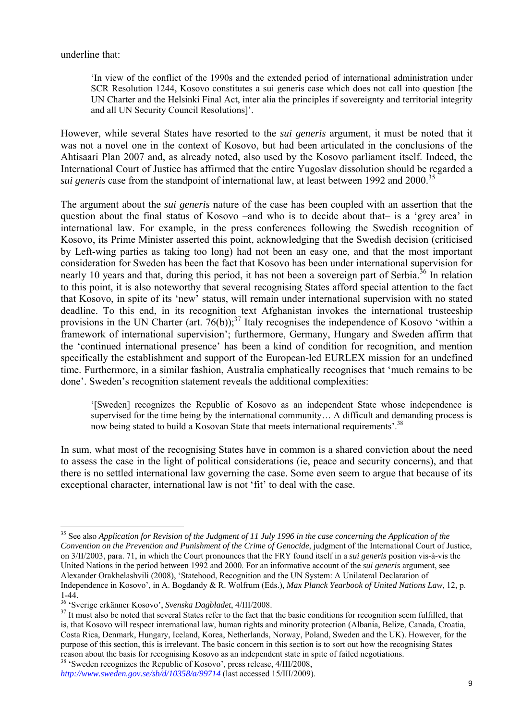underline that:

'In view of the conflict of the 1990s and the extended period of international administration under SCR Resolution 1244, Kosovo constitutes a sui generis case which does not call into question [the UN Charter and the Helsinki Final Act, inter alia the principles if sovereignty and territorial integrity and all UN Security Council Resolutions]'.

However, while several States have resorted to the *sui generis* argument, it must be noted that it was not a novel one in the context of Kosovo, but had been articulated in the conclusions of the Ahtisaari Plan 2007 and, as already noted, also used by the Kosovo parliament itself. Indeed, the International Court of Justice has affirmed that the entire Yugoslav dissolution should be regarded a *sui generis* case from the standpoint of international law, at least between 1992 and 2000.<sup>35</sup>

The argument about the *sui generis* nature of the case has been coupled with an assertion that the question about the final status of Kosovo –and who is to decide about that– is a 'grey area' in international law. For example, in the press conferences following the Swedish recognition of Kosovo, its Prime Minister asserted this point, acknowledging that the Swedish decision (criticised by Left-wing parties as taking too long) had not been an easy one, and that the most important consideration for Sweden has been the fact that Kosovo has been under international supervision for nearly 10 years and that, during this period, it has not been a sovereign part of Serbia.<sup>36</sup> In relation to this point, it is also noteworthy that several recognising States afford special attention to the fact that Kosovo, in spite of its 'new' status, will remain under international supervision with no stated deadline. To this end, in its recognition text Afghanistan invokes the international trusteeship provisions in the UN Charter (art.  $76(b)$ );<sup>37</sup> Italy recognises the independence of Kosovo 'within a framework of international supervision'; furthermore, Germany, Hungary and Sweden affirm that the 'continued international presence' has been a kind of condition for recognition, and mention specifically the establishment and support of the European-led EURLEX mission for an undefined time. Furthermore, in a similar fashion, Australia emphatically recognises that 'much remains to be done'. Sweden's recognition statement reveals the additional complexities:

'[Sweden] recognizes the Republic of Kosovo as an independent State whose independence is supervised for the time being by the international community… A difficult and demanding process is now being stated to build a Kosovan State that meets international requirements'.<sup>38</sup>

In sum, what most of the recognising States have in common is a shared conviction about the need to assess the case in the light of political considerations (ie, peace and security concerns), and that there is no settled international law governing the case. Some even seem to argue that because of its exceptional character, international law is not 'fit' to deal with the case.

<sup>&</sup>lt;sup>35</sup> See also *Application for Revision of the Judgment of 11 July 1996 in the case concerning the Application of the Convention on the Prevention and Punishment of the Crime of Genocide*, judgment of the International Court of Justice, on 3/II/2003, para. 71, in which the Court pronounces that the FRY found itself in a *sui generis* position vis-à-vis the United Nations in the period between 1992 and 2000. For an informative account of the *sui generis* argument, see Alexander Orakhelashvili (2008), 'Statehood, Recognition and the UN System: A Unilateral Declaration of Independence in Kosovo', in A. Bogdandy & R. Wolfrum (Eds.), *Max Planck Yearbook of United Nations Law*, 12, p. 1-44.<br><sup>36</sup> 'Sverige erkänner Kosovo', Svenska Dagbladet, 4/III/2008.

<sup>&</sup>lt;sup>37</sup> It must also be noted that several States refer to the fact that the basic conditions for recognition seem fulfilled, that is, that Kosovo will respect international law, human rights and minority protection (Albania, Belize, Canada, Croatia, Costa Rica, Denmark, Hungary, Iceland, Korea, Netherlands, Norway, Poland, Sweden and the UK). However, for the purpose of this section, this is irrelevant. The basic concern in this section is to sort out how the recognising States reason about the basis for recognising Kosovo as an independent state in spite of failed negotiations.

<sup>&</sup>lt;sup>38</sup> 'Sweden recognizes the Republic of Kosovo', press release, 4/III/2008,

*http://www.sweden.gov.se/sb/d/10358/a/99714* (last accessed 15/III/2009).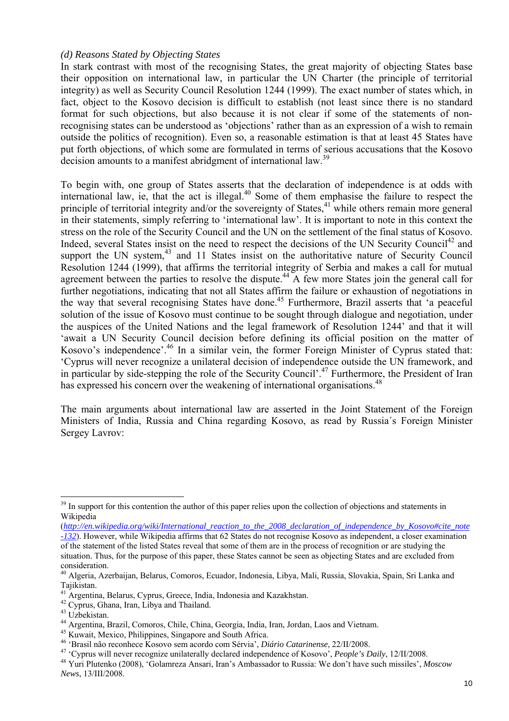#### *(d) Reasons Stated by Objecting States*

In stark contrast with most of the recognising States, the great majority of objecting States base their opposition on international law, in particular the UN Charter (the principle of territorial integrity) as well as Security Council Resolution 1244 (1999). The exact number of states which, in fact, object to the Kosovo decision is difficult to establish (not least since there is no standard format for such objections, but also because it is not clear if some of the statements of nonrecognising states can be understood as 'objections' rather than as an expression of a wish to remain outside the politics of recognition). Even so, a reasonable estimation is that at least 45 States have put forth objections, of which some are formulated in terms of serious accusations that the Kosovo decision amounts to a manifest abridgment of international law.<sup>39</sup>

To begin with, one group of States asserts that the declaration of independence is at odds with international law, ie, that the act is illegal.<sup>40</sup> Some of them emphasise the failure to respect the principle of territorial integrity and/or the sovereignty of States,  $41$  while others remain more general in their statements, simply referring to 'international law'. It is important to note in this context the stress on the role of the Security Council and the UN on the settlement of the final status of Kosovo. Indeed, several States insist on the need to respect the decisions of the UN Security Council<sup>42</sup> and support the UN system,<sup>43</sup> and 11 States insist on the authoritative nature of Security Council Resolution 1244 (1999), that affirms the territorial integrity of Serbia and makes a call for mutual agreement between the parties to resolve the dispute.<sup>44</sup> A few more States join the general call for further negotiations, indicating that not all States affirm the failure or exhaustion of negotiations in the way that several recognising States have done.<sup>45</sup> Furthermore, Brazil asserts that 'a peaceful solution of the issue of Kosovo must continue to be sought through dialogue and negotiation, under the auspices of the United Nations and the legal framework of Resolution 1244' and that it will 'await a UN Security Council decision before defining its official position on the matter of Kosovo's independence'.46 In a similar vein, the former Foreign Minister of Cyprus stated that: 'Cyprus will never recognize a unilateral decision of independence outside the UN framework, and in particular by side-stepping the role of the Security Council'.47 Furthermore, the President of Iran has expressed his concern over the weakening of international organisations.<sup>48</sup>

The main arguments about international law are asserted in the Joint Statement of the Foreign Ministers of India, Russia and China regarding Kosovo, as read by Russia´s Foreign Minister Sergey Lavrov:

<sup>&</sup>lt;sup>39</sup> In support for this contention the author of this paper relies upon the collection of objections and statements in Wikipedia

<sup>(</sup>*http://en.wikipedia.org/wiki/International\_reaction\_to\_the\_2008\_declaration\_of\_independence\_by\_Kosovo#cite\_note -132*). However, while Wikipedia affirms that 62 States do not recognise Kosovo as independent, a closer examination of the statement of the listed States reveal that some of them are in the process of recognition or are studying the situation. Thus, for the purpose of this paper, these States cannot be seen as objecting States and are excluded from consideration.

<sup>40</sup> Algeria, Azerbaijan, Belarus, Comoros, Ecuador, Indonesia, Libya, Mali, Russia, Slovakia, Spain, Sri Lanka and Tajikistan.

<sup>&</sup>lt;sup>41</sup> Argentina, Belarus, Cyprus, Greece, India, Indonesia and Kazakhstan. <sup>42</sup> Cyprus, Ghana, Iran, Libya and Thailand.

<sup>43</sup> Uzbekistan.

<sup>44</sup> Argentina, Brazil, Comoros, Chile, China, Georgia, India, Iran, Jordan, Laos and Vietnam.

<sup>&</sup>lt;sup>45</sup> Kuwait, Mexico, Philippines, Singapore and South Africa.<br><sup>46</sup> 'Brasil não reconhece Kosovo sem acordo com Sérvia', *Diário Catarinense*, 22/II/2008.

<sup>&</sup>lt;sup>47</sup> 'Cyprus will never recognize unilaterally declared independence of Kosovo', *People's Daily*, 12/II/2008.<br><sup>48</sup> Yuri Plutenko (2008), 'Golamreza Ansari, Iran's Ambassador to Russia: We don't have such missiles', *Mosco News*, 13/III/2008.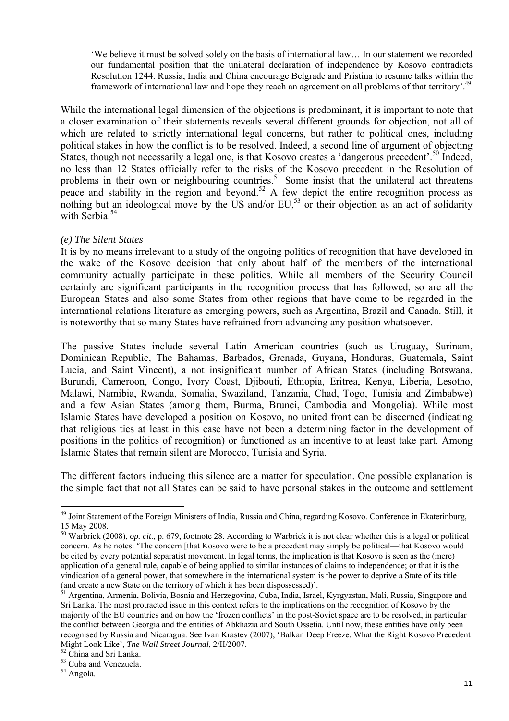'We believe it must be solved solely on the basis of international law… In our statement we recorded our fundamental position that the unilateral declaration of independence by Kosovo contradicts Resolution 1244. Russia, India and China encourage Belgrade and Pristina to resume talks within the framework of international law and hope they reach an agreement on all problems of that territory'.49

While the international legal dimension of the objections is predominant, it is important to note that a closer examination of their statements reveals several different grounds for objection, not all of which are related to strictly international legal concerns, but rather to political ones, including political stakes in how the conflict is to be resolved. Indeed, a second line of argument of objecting States, though not necessarily a legal one, is that Kosovo creates a 'dangerous precedent'.<sup>50</sup> Indeed, no less than 12 States officially refer to the risks of the Kosovo precedent in the Resolution of problems in their own or neighbouring countries.<sup>51</sup> Some insist that the unilateral act threatens peace and stability in the region and beyond.<sup>52</sup> A few depict the entire recognition process as nothing but an ideological move by the US and/or EU,<sup>53</sup> or their objection as an act of solidarity with Serbia.<sup>54</sup>

#### *(e) The Silent States*

It is by no means irrelevant to a study of the ongoing politics of recognition that have developed in the wake of the Kosovo decision that only about half of the members of the international community actually participate in these politics. While all members of the Security Council certainly are significant participants in the recognition process that has followed, so are all the European States and also some States from other regions that have come to be regarded in the international relations literature as emerging powers, such as Argentina, Brazil and Canada. Still, it is noteworthy that so many States have refrained from advancing any position whatsoever.

The passive States include several Latin American countries (such as Uruguay, Surinam, Dominican Republic, The Bahamas, Barbados, Grenada, Guyana, Honduras, Guatemala, Saint Lucia, and Saint Vincent), a not insignificant number of African States (including Botswana, Burundi, Cameroon, Congo, Ivory Coast, Djibouti, Ethiopia, Eritrea, Kenya, Liberia, Lesotho, Malawi, Namibia, Rwanda, Somalia, Swaziland, Tanzania, Chad, Togo, Tunisia and Zimbabwe) and a few Asian States (among them, Burma, Brunei, Cambodia and Mongolia). While most Islamic States have developed a position on Kosovo, no united front can be discerned (indicating that religious ties at least in this case have not been a determining factor in the development of positions in the politics of recognition) or functioned as an incentive to at least take part. Among Islamic States that remain silent are Morocco, Tunisia and Syria.

The different factors inducing this silence are a matter for speculation. One possible explanation is the simple fact that not all States can be said to have personal stakes in the outcome and settlement

<sup>&</sup>lt;sup>49</sup> Joint Statement of the Foreign Ministers of India, Russia and China, regarding Kosovo. Conference in Ekaterinburg, 15 May 2008.

<sup>50</sup> Warbrick (2008), *op. cit*., p. 679, footnote 28. According to Warbrick it is not clear whether this is a legal or political concern. As he notes: 'The concern [that Kosovo were to be a precedent may simply be political—that Kosovo would be cited by every potential separatist movement. In legal terms, the implication is that Kosovo is seen as the (mere) application of a general rule, capable of being applied to similar instances of claims to independence; or that it is the vindication of a general power, that somewhere in the international system is the power to deprive a State of its title (and create a new State on the territory of which it has been dispossessed)'.

<sup>&</sup>lt;sup>51</sup> Argentina, Armenia, Bolivia, Bosnia and Herzegovina, Cuba, India, Israel, Kyrgyzstan, Mali, Russia, Singapore and Sri Lanka. The most protracted issue in this context refers to the implications on the recognition of Kosovo by the majority of the EU countries and on how the 'frozen conflicts' in the post-Soviet space are to be resolved, in particular the conflict between Georgia and the entities of Abkhazia and South Ossetia. Until now, these entities have only been recognised by Russia and Nicaragua. See Ivan Krastev (2007), 'Balkan Deep Freeze. What the Right Kosovo Precedent Might Look Like', *The Wall Street Journal*, 2/II/2007. 52 China and Sri Lanka.

<sup>53</sup> Cuba and Venezuela.

<sup>54</sup> Angola.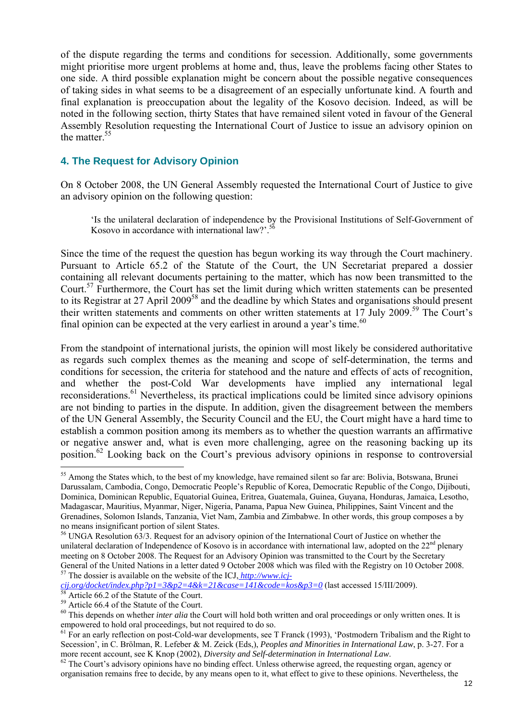of the dispute regarding the terms and conditions for secession. Additionally, some governments might prioritise more urgent problems at home and, thus, leave the problems facing other States to one side. A third possible explanation might be concern about the possible negative consequences of taking sides in what seems to be a disagreement of an especially unfortunate kind. A fourth and final explanation is preoccupation about the legality of the Kosovo decision. Indeed, as will be noted in the following section, thirty States that have remained silent voted in favour of the General Assembly Resolution requesting the International Court of Justice to issue an advisory opinion on the matter<sup>55</sup>

## **4. The Request for Advisory Opinion**

On 8 October 2008, the UN General Assembly requested the International Court of Justice to give an advisory opinion on the following question:

'Is the unilateral declaration of independence by the Provisional Institutions of Self-Government of Kosovo in accordance with international law?'.<sup>56</sup>

Since the time of the request the question has begun working its way through the Court machinery. Pursuant to Article 65.2 of the Statute of the Court, the UN Secretariat prepared a dossier containing all relevant documents pertaining to the matter, which has now been transmitted to the Court.<sup>57</sup> Furthermore, the Court has set the limit during which written statements can be presented to its Registrar at 27 April 2009<sup>58</sup> and the deadline by which States and organisations should present their written statements and comments on other written statements at 17 July 2009.59 The Court's final opinion can be expected at the very earliest in around a year's time. $60$ 

From the standpoint of international jurists, the opinion will most likely be considered authoritative as regards such complex themes as the meaning and scope of self-determination, the terms and conditions for secession, the criteria for statehood and the nature and effects of acts of recognition, and whether the post-Cold War developments have implied any international legal reconsiderations.61 Nevertheless, its practical implications could be limited since advisory opinions are not binding to parties in the dispute. In addition, given the disagreement between the members of the UN General Assembly, the Security Council and the EU, the Court might have a hard time to establish a common position among its members as to whether the question warrants an affirmative or negative answer and, what is even more challenging, agree on the reasoning backing up its position.62 Looking back on the Court's previous advisory opinions in response to controversial

<sup>&</sup>lt;sup>55</sup> Among the States which, to the best of my knowledge, have remained silent so far are: Bolivia, Botswana, Brunei Darussalam, Cambodia, Congo, Democratic People's Republic of Korea, Democratic Republic of the Congo, Dijibouti, Dominica, Dominican Republic, Equatorial Guinea, Eritrea, Guatemala, Guinea, Guyana, Honduras, Jamaica, Lesotho, Madagascar, Mauritius, Myanmar, Niger, Nigeria, Panama, Papua New Guinea, Philippines, Saint Vincent and the Grenadines, Solomon Islands, Tanzania, Viet Nam, Zambia and Zimbabwe. In other words, this group composes a by no means insignificant portion of silent States.

<sup>&</sup>lt;sup>56</sup> UNGA Resolution 63/3. Request for an advisory opinion of the International Court of Justice on whether the unilateral declaration of Independence of Kosovo is in accordance with international law, adopted on the  $22<sup>nd</sup>$  plenary meeting on 8 October 2008. The Request for an Advisory Opinion was transmitted to the Court by the Secretary General of the United Nations in a letter dated 9 October 2008 which was filed with the Registry on 10 October 2008.<br><sup>57</sup> The dossier is available on the website of the ICJ, *http://www.icj-*

*cij.org/docket/index.php?p1=3&p2=4&k=21&case=141&code=kos&p3=0* (last accessed 15/III/2009). 58 Article 66.2 of the Statute of the Court.

<sup>&</sup>lt;sup>59</sup> Article 66.4 of the Statute of the Court.

<sup>&</sup>lt;sup>60</sup> This depends on whether *inter alia* the Court will hold both written and oral proceedings or only written ones. It is empowered to hold oral proceedings, but not required to do so.

 $61$  For an early reflection on post-Cold-war developments, see T Franck (1993), 'Postmodern Tribalism and the Right to Secession', in C. Brölman, R. Lefeber & M. Zeick (Eds,), *Peoples and Minorities in International Law*, p. 3-27. For a more recent account, see K Knop (2002), *Diversity and Self-determination in International Law*.<br><sup>62</sup> The Court's advisory opinions have no binding effect. Unless otherwise agreed, the requesting organ, agency or

organisation remains free to decide, by any means open to it, what effect to give to these opinions. Nevertheless, the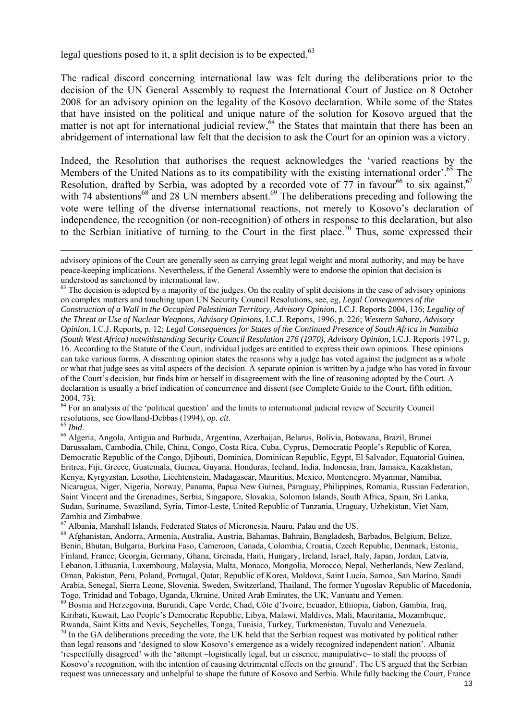legal questions posed to it, a split decision is to be expected. $63$ 

The radical discord concerning international law was felt during the deliberations prior to the decision of the UN General Assembly to request the International Court of Justice on 8 October 2008 for an advisory opinion on the legality of the Kosovo declaration. While some of the States that have insisted on the political and unique nature of the solution for Kosovo argued that the matter is not apt for international judicial review,  $64$  the States that maintain that there has been an abridgement of international law felt that the decision to ask the Court for an opinion was a victory.

Indeed, the Resolution that authorises the request acknowledges the 'varied reactions by the Members of the United Nations as to its compatibility with the existing international order'.<sup>65</sup> The Resolution, drafted by Serbia, was adopted by a recorded vote of 77 in favour<sup>66</sup> to six against.<sup>67</sup> with 74 abstentions<sup>68</sup> and 28 UN members absent.<sup>69</sup> The deliberations preceding and following the vote were telling of the diverse international reactions, not merely to Kosovo's declaration of independence, the recognition (or non-recognition) of others in response to this declaration, but also to the Serbian initiative of turning to the Court in the first place.<sup>70</sup> Thus, some expressed their

 $64$  For an analysis of the 'political question' and the limits to international judicial review of Security Council resolutions, see Gowlland-Debbas (1994), *op. cit.* 

res *Ibid.* 65 *Ibid.* conservations, see Gowlland-Debbas (1994), *op. citionalism*, Belarus, Bolivia, Botswana, Brazil, Brunei Darussalam, Cambodia, Chile, China, Congo, Costa Rica, Cuba, Cyprus, Democratic People's Republic of Korea, Democratic Republic of the Congo, Djibouti, Dominica, Dominican Republic, Egypt, El Salvador, Equatorial Guinea, Eritrea, Fiji, Greece, Guatemala, Guinea, Guyana, Honduras, Iceland, India, Indonesia, Iran, Jamaica, Kazakhstan, Kenya, Kyrgyzstan, Lesotho, Liechtenstein, Madagascar, Mauritius, Mexico, Montenegro, Myanmar, Namibia, Nicaragua, Niger, Nigeria, Norway, Panama, Papua New Guinea, Paraguay, Philippines, Romania, Russian Federation, Saint Vincent and the Grenadines, Serbia, Singapore, Slovakia, Solomon Islands, South Africa, Spain, Sri Lanka, Sudan, Suriname, Swaziland, Syria, Timor-Leste, United Republic of Tanzania, Uruguay, Uzbekistan, Viet Nam, Zambia and Zimbabwe.

 $^7$  Albania, Marshall Islands, Federated States of Micronesia, Nauru, Palau and the US.

advisory opinions of the Court are generally seen as carrying great legal weight and moral authority, and may be have peace-keeping implications. Nevertheless, if the General Assembly were to endorse the opinion that decision is understood as sanctioned by international law.

 $<sup>63</sup>$  The decision is adopted by a majority of the judges. On the reality of split decisions in the case of advisory opinions</sup> on complex matters and touching upon UN Security Council Resolutions, see, eg, *Legal Consequences of the Construction of a Wall in the Occupied Palestinian Territory, Advisory Opinion*, I.C.J. Reports 2004, 136; *Legality of the Threat or Use of Nuclear Weapons, Advisory Opinions*, I.C.J. Reports, 1996, p. 226; *Western Sahara, Advisory Opinion*, I.C.J. Reports, p. 12; *Legal Consequences for States of the Continued Presence of South Africa in Namibia (South West Africa) notwithstanding Security Council Resolution 276 (1970), Advisory Opinion*, I.C.J. Reports 1971, p. 16. According to the Statute of the Court, individual judges are entitled to express their own opinions. These opinions can take various forms. A dissenting opinion states the reasons why a judge has voted against the judgment as a whole or what that judge sees as vital aspects of the decision. A separate opinion is written by a judge who has voted in favour of the Court's decision, but finds him or herself in disagreement with the line of reasoning adopted by the Court. A declaration is usually a brief indication of concurrence and dissent (see Complete Guide to the Court, fifth edition, 2004, 73).

<sup>68</sup> Afghanistan, Andorra, Armenia, Australia, Austria, Bahamas, Bahrain, Bangladesh, Barbados, Belgium, Belize, Benin, Bhutan, Bulgaria, Burkina Faso, Cameroon, Canada, Colombia, Croatia, Czech Republic, Denmark, Estonia, Finland, France, Georgia, Germany, Ghana, Grenada, Haiti, Hungary, Ireland, Israel, Italy, Japan, Jordan, Latvia, Lebanon, Lithuania, Luxembourg, Malaysia, Malta, Monaco, Mongolia, Morocco, Nepal, Netherlands, New Zealand, Oman, Pakistan, Peru, Poland, Portugal, Qatar, Republic of Korea, Moldova, Saint Lucia, Samoa, San Marino, Saudi Arabia, Senegal, Sierra Leone, Slovenia, Sweden, Switzerland, Thailand, The former Yugoslav Republic of Macedonia, Togo, Trinidad and Tobago, Uganda, Ukraine, United Arab Emirates, the UK, Vanuatu and Yemen. 69 Bosnia and Herzegovina, Burundi, Cape Verde, Chad, Côte d'Ivoire, Ecuador, Ethiopia, Gabon, Gambia, Iraq, Kiribati, Kuwait, Lao People's Democratic Republic, Libya, Malawi, Maldives, Mali, Mauritania, Mozambique, Rwanda. Saint Kitts and Nevis. Sevchelles. Tonga. Tunisia. Turkey. Turkmenistan. Tuvalu and Venezuela.  $\frac{70}{10}$  In the GA deliberations preceding the vote, the UK held that the Serbian request was motivated by political rather than legal reasons and 'designed to slow Kosovo's emergence as a widely recognized independent nation'. Albania 'respectfully disagreed' with the 'attempt –logistically legal, but in essence, manipulative– to stall the process of Kosovo's recognition, with the intention of causing detrimental effects on the ground'. The US argued that the Serbian request was unnecessary and unhelpful to shape the future of Kosovo and Serbia. While fully backing the Court, France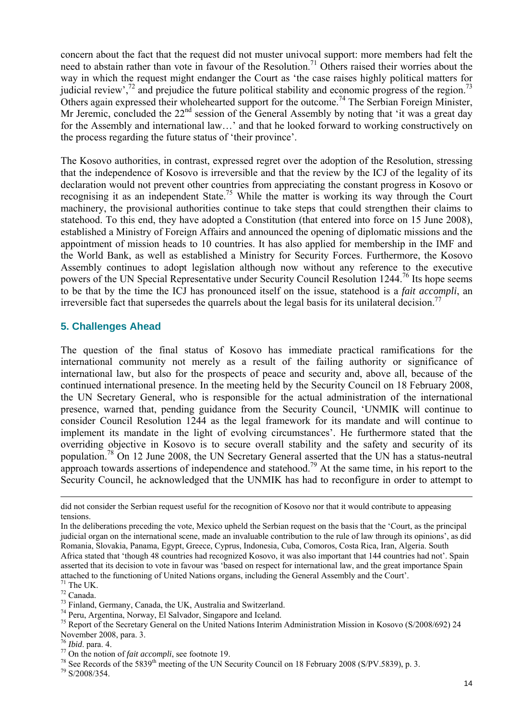concern about the fact that the request did not muster univocal support: more members had felt the need to abstain rather than vote in favour of the Resolution.<sup>71</sup> Others raised their worries about the way in which the request might endanger the Court as 'the case raises highly political matters for judicial review',<sup>72</sup> and prejudice the future political stability and economic progress of the region.<sup>73</sup> Others again expressed their wholehearted support for the outcome.<sup>74</sup> The Serbian Foreign Minister, Mr Jeremic, concluded the  $22<sup>nd</sup>$  session of the General Assembly by noting that 'it was a great day for the Assembly and international law…' and that he looked forward to working constructively on the process regarding the future status of 'their province'.

The Kosovo authorities, in contrast, expressed regret over the adoption of the Resolution, stressing that the independence of Kosovo is irreversible and that the review by the ICJ of the legality of its declaration would not prevent other countries from appreciating the constant progress in Kosovo or recognising it as an independent State.<sup>75</sup> While the matter is working its way through the Court machinery, the provisional authorities continue to take steps that could strengthen their claims to statehood. To this end, they have adopted a Constitution (that entered into force on 15 June 2008), established a Ministry of Foreign Affairs and announced the opening of diplomatic missions and the appointment of mission heads to 10 countries. It has also applied for membership in the IMF and the World Bank, as well as established a Ministry for Security Forces. Furthermore, the Kosovo Assembly continues to adopt legislation although now without any reference to the executive powers of the UN Special Representative under Security Council Resolution 1244.76 Its hope seems to be that by the time the ICJ has pronounced itself on the issue, statehood is a *fait accompli*, an irreversible fact that supersedes the quarrels about the legal basis for its unilateral decision.<sup>77</sup>

## **5. Challenges Ahead**

The question of the final status of Kosovo has immediate practical ramifications for the international community not merely as a result of the failing authority or significance of international law, but also for the prospects of peace and security and, above all, because of the continued international presence. In the meeting held by the Security Council on 18 February 2008, the UN Secretary General, who is responsible for the actual administration of the international presence, warned that, pending guidance from the Security Council, 'UNMIK will continue to consider Council Resolution 1244 as the legal framework for its mandate and will continue to implement its mandate in the light of evolving circumstances'. He furthermore stated that the overriding objective in Kosovo is to secure overall stability and the safety and security of its population.78 On 12 June 2008, the UN Secretary General asserted that the UN has a status-neutral approach towards assertions of independence and statehood.<sup>79</sup> At the same time, in his report to the Security Council, he acknowledged that the UNMIK has had to reconfigure in order to attempt to

did not consider the Serbian request useful for the recognition of Kosovo nor that it would contribute to appeasing tensions.

In the deliberations preceding the vote, Mexico upheld the Serbian request on the basis that the 'Court, as the principal judicial organ on the international scene, made an invaluable contribution to the rule of law through its opinions', as did Romania, Slovakia, Panama, Egypt, Greece, Cyprus, Indonesia, Cuba, Comoros, Costa Rica, Iran, Algeria. South Africa stated that 'though 48 countries had recognized Kosovo, it was also important that 144 countries had not'. Spain asserted that its decision to vote in favour was 'based on respect for international law, and the great importance Spain attached to the functioning of United Nations organs, including the General Assembly and the Court'.

 $71$  The UK.

<sup>&</sup>lt;sup>72</sup> Canada.<br><sup>73</sup> Finland, Germany, Canada, the UK, Australia and Switzerland.

 $^{74}$  Peru, Argentina, Norway, El Salvador, Singapore and Iceland.<br><sup>75</sup> Report of the Secretary General on the United Nations Interim Administration Mission in Kosovo (S/2008/692) 24 November 2008, para. 3.<br><sup>76</sup> Ibid. para. 4.

<sup>&</sup>lt;sup>77</sup> On the notion of *fait accompli*, see footnote 19.<br><sup>78</sup> See Records of the 5839<sup>th</sup> meeting of the UN Security Council on 18 February 2008 (S/PV.5839), p. 3.<br><sup>79</sup> S/2008/354.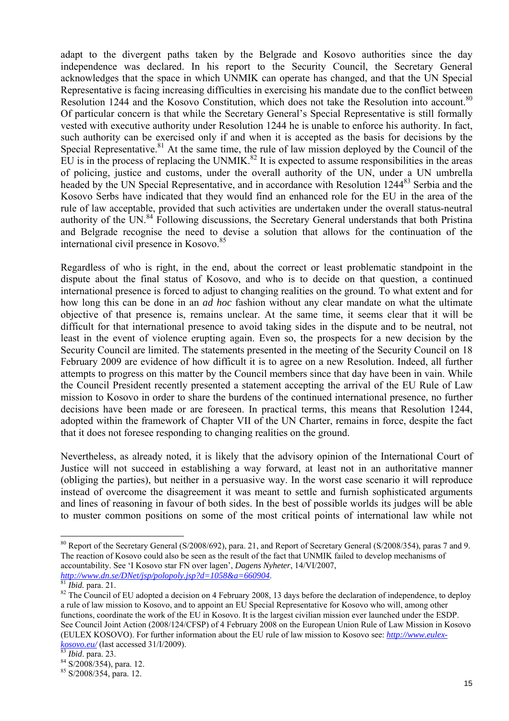adapt to the divergent paths taken by the Belgrade and Kosovo authorities since the day independence was declared. In his report to the Security Council, the Secretary General acknowledges that the space in which UNMIK can operate has changed, and that the UN Special Representative is facing increasing difficulties in exercising his mandate due to the conflict between Resolution 1244 and the Kosovo Constitution, which does not take the Resolution into account.<sup>80</sup> Of particular concern is that while the Secretary General's Special Representative is still formally vested with executive authority under Resolution 1244 he is unable to enforce his authority. In fact, such authority can be exercised only if and when it is accepted as the basis for decisions by the Special Representative. $81$  At the same time, the rule of law mission deployed by the Council of the EU is in the process of replacing the UNMIK.<sup>82</sup> It is expected to assume responsibilities in the areas of policing, justice and customs, under the overall authority of the UN, under a UN umbrella headed by the UN Special Representative, and in accordance with Resolution 1244<sup>83</sup> Serbia and the Kosovo Serbs have indicated that they would find an enhanced role for the EU in the area of the rule of law acceptable, provided that such activities are undertaken under the overall status-neutral authority of the UN.<sup>84</sup> Following discussions, the Secretary General understands that both Pristina and Belgrade recognise the need to devise a solution that allows for the continuation of the international civil presence in Kosovo.<sup>85</sup>

Regardless of who is right, in the end, about the correct or least problematic standpoint in the dispute about the final status of Kosovo, and who is to decide on that question, a continued international presence is forced to adjust to changing realities on the ground. To what extent and for how long this can be done in an *ad hoc* fashion without any clear mandate on what the ultimate objective of that presence is, remains unclear. At the same time, it seems clear that it will be difficult for that international presence to avoid taking sides in the dispute and to be neutral, not least in the event of violence erupting again. Even so, the prospects for a new decision by the Security Council are limited. The statements presented in the meeting of the Security Council on 18 February 2009 are evidence of how difficult it is to agree on a new Resolution. Indeed, all further attempts to progress on this matter by the Council members since that day have been in vain. While the Council President recently presented a statement accepting the arrival of the EU Rule of Law mission to Kosovo in order to share the burdens of the continued international presence, no further decisions have been made or are foreseen. In practical terms, this means that Resolution 1244, adopted within the framework of Chapter VII of the UN Charter, remains in force, despite the fact that it does not foresee responding to changing realities on the ground.

Nevertheless, as already noted, it is likely that the advisory opinion of the International Court of Justice will not succeed in establishing a way forward, at least not in an authoritative manner (obliging the parties), but neither in a persuasive way. In the worst case scenario it will reproduce instead of overcome the disagreement it was meant to settle and furnish sophisticated arguments and lines of reasoning in favour of both sides. In the best of possible worlds its judges will be able to muster common positions on some of the most critical points of international law while not

<sup>&</sup>lt;sup>80</sup> Report of the Secretary General (S/2008/692), para. 21, and Report of Secretary General (S/2008/354), paras 7 and 9. The reaction of Kosovo could also be seen as the result of the fact that UNMIK failed to develop mechanisms of accountability. See 'I Kosovo star FN over lagen', *Dagens Nyheter*, 14/VI/2007, *http://www.dn.se/DNet/jsp/polopoly.jsp?d=1058&a=660904*.<br><sup>81</sup>*Ibid.* para. 21.

<sup>&</sup>lt;sup>82</sup> The Council of EU adopted a decision on 4 February 2008, 13 days before the declaration of independence, to deploy a rule of law mission to Kosovo, and to appoint an EU Special Representative for Kosovo who will, among other functions, coordinate the work of the EU in Kosovo. It is the largest civilian mission ever launched under the ESDP. See Council Joint Action (2008/124/CFSP) of 4 February 2008 on the European Union Rule of Law Mission in Kosovo (EULEX KOSOVO). For further information about the EU rule of law mission to Kosovo see: *http://www.eulexkosovo.eu/* (last accessed 31/I/2009).<br><sup>83</sup> *Ibid.* para. 23. <sup>84</sup> S/2008/354), para. 12.

<sup>85</sup> S/2008/354, para. 12.